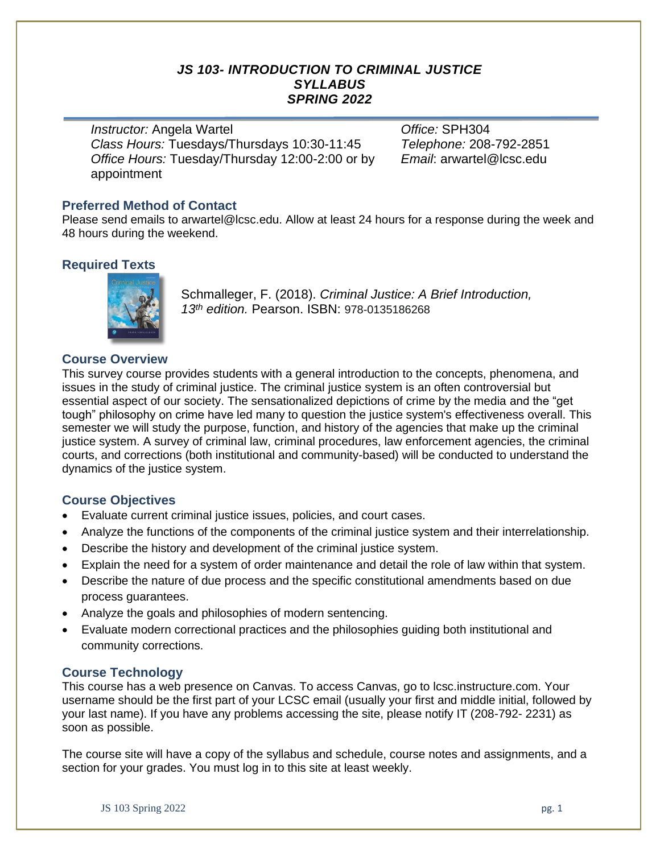## *JS 103- INTRODUCTION TO CRIMINAL JUSTICE SYLLABUS SPRING 2022*

*Instructor:* Angela Wartel *Office:* SPH304 *Class Hours:* Tuesdays/Thursdays 10:30-11:45 *Telephone:* 208-792-2851 *Office Hours:* Tuesday/Thursday 12:00-2:00 or by appointment

*Email*: arwartel@lcsc.edu

### **Preferred Method of Contact**

Please send emails to arwartel@lcsc.edu. Allow at least 24 hours for a response during the week and 48 hours during the weekend.

## **Required Texts**



Schmalleger, F. (2018). *Criminal Justice: A Brief Introduction, 13 th edition.* Pearson. ISBN: 978-0135186268

## **Course Overview**

This survey course provides students with a general introduction to the concepts, phenomena, and issues in the study of criminal justice. The criminal justice system is an often controversial but essential aspect of our society. The sensationalized depictions of crime by the media and the "get tough" philosophy on crime have led many to question the justice system's effectiveness overall. This semester we will study the purpose, function, and history of the agencies that make up the criminal justice system. A survey of criminal law, criminal procedures, law enforcement agencies, the criminal courts, and corrections (both institutional and community-based) will be conducted to understand the dynamics of the justice system.

### **Course Objectives**

- Evaluate current criminal justice issues, policies, and court cases.
- Analyze the functions of the components of the criminal justice system and their interrelationship.
- Describe the history and development of the criminal justice system.
- Explain the need for a system of order maintenance and detail the role of law within that system.
- Describe the nature of due process and the specific constitutional amendments based on due process guarantees.
- Analyze the goals and philosophies of modern sentencing.
- Evaluate modern correctional practices and the philosophies guiding both institutional and community corrections.

### **Course Technology**

This course has a web presence on Canvas. To access Canvas, go to lcsc.instructure.com. Your username should be the first part of your LCSC email (usually your first and middle initial, followed by your last name). If you have any problems accessing the site, please notify IT (208-792- 2231) as soon as possible.

The course site will have a copy of the syllabus and schedule, course notes and assignments, and a section for your grades. You must log in to this site at least weekly.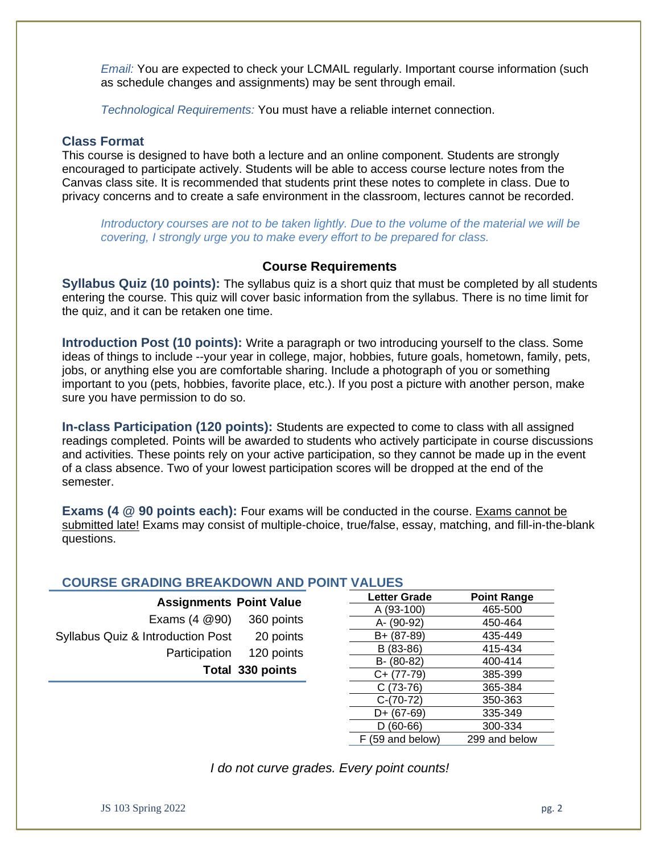*Email:* You are expected to check your LCMAIL regularly. Important course information (such as schedule changes and assignments) may be sent through email.

*Technological Requirements:* You must have a reliable internet connection.

#### **Class Format**

This course is designed to have both a lecture and an online component. Students are strongly encouraged to participate actively. Students will be able to access course lecture notes from the Canvas class site. It is recommended that students print these notes to complete in class. Due to privacy concerns and to create a safe environment in the classroom, lectures cannot be recorded.

*Introductory courses are not to be taken lightly. Due to the volume of the material we will be covering, I strongly urge you to make every effort to be prepared for class.*

## **Course Requirements**

**Syllabus Quiz (10 points):** The syllabus quiz is a short quiz that must be completed by all students entering the course. This quiz will cover basic information from the syllabus. There is no time limit for the quiz, and it can be retaken one time.

**Introduction Post (10 points):** Write a paragraph or two introducing yourself to the class. Some ideas of things to include --your year in college, major, hobbies, future goals, hometown, family, pets, jobs, or anything else you are comfortable sharing. Include a photograph of you or something important to you (pets, hobbies, favorite place, etc.). If you post a picture with another person, make sure you have permission to do so.

**In-class Participation (120 points):** Students are expected to come to class with all assigned readings completed. Points will be awarded to students who actively participate in course discussions and activities. These points rely on your active participation, so they cannot be made up in the event of a class absence. Two of your lowest participation scores will be dropped at the end of the semester.

**Exams (4 @ 90 points each):** Four exams will be conducted in the course. Exams cannot be submitted late! Exams may consist of multiple-choice, true/false, essay, matching, and fill-in-the-blank questions.

### **COURSE GRADING BREAKDOWN AND POINT VALUES**

| <b>Assignments Point Value</b>               |                          |
|----------------------------------------------|--------------------------|
| Exams $(4 \otimes 90)$                       | 360 points               |
| <b>Syllabus Quiz &amp; Introduction Post</b> | 20 points                |
|                                              | Participation 120 points |
|                                              | Total 330 points         |
|                                              |                          |

| <b>Letter Grade</b> | <b>Point Range</b> |
|---------------------|--------------------|
| A (93-100)          | 465-500            |
| A- (90-92)          | 450-464            |
| B+ (87-89)          | 435-449            |
| B (83-86)           | 415-434            |
| B- (80-82)          | 400-414            |
| $C+ (77-79)$        | 385-399            |
| $C(73-76)$          | 365-384            |
| $C-(70-72)$         | 350-363            |
| D+ (67-69)          | 335-349            |
| $D(60-66)$          | 300-334            |
| F (59 and below)    | 299 and below      |

*I do not curve grades. Every point counts!*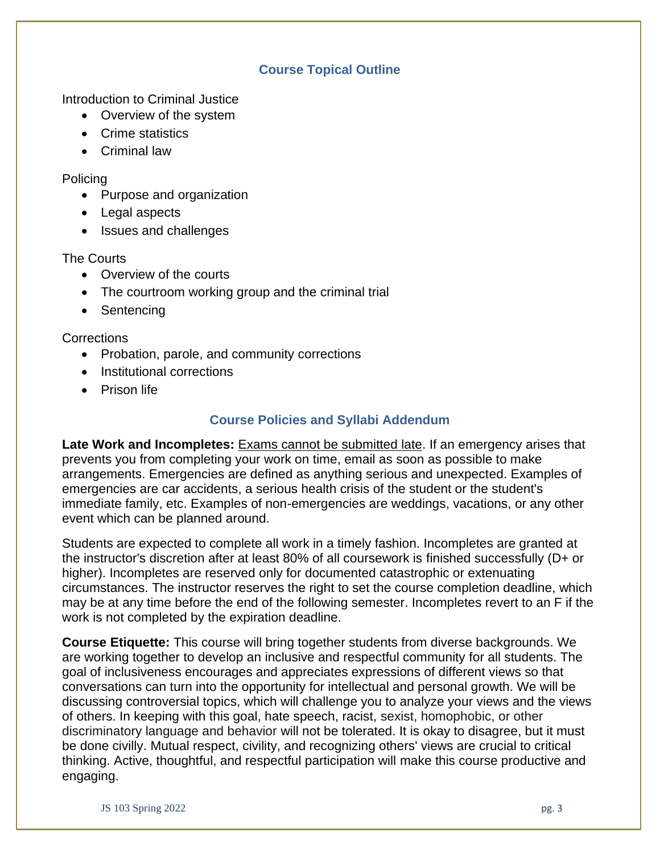## **Course Topical Outline**

Introduction to Criminal Justice

- Overview of the system
- Crime statistics
- Criminal law

Policing

- Purpose and organization
- Legal aspects
- Issues and challenges

## The Courts

- Overview of the courts
- The courtroom working group and the criminal trial
- Sentencing

**Corrections** 

- Probation, parole, and community corrections
- Institutional corrections
- Prison life

# **Course Policies and Syllabi Addendum**

**Late Work and Incompletes:** Exams cannot be submitted late. If an emergency arises that prevents you from completing your work on time, email as soon as possible to make arrangements. Emergencies are defined as anything serious and unexpected. Examples of emergencies are car accidents, a serious health crisis of the student or the student's immediate family, etc. Examples of non-emergencies are weddings, vacations, or any other event which can be planned around.

Students are expected to complete all work in a timely fashion. Incompletes are granted at the instructor's discretion after at least 80% of all coursework is finished successfully (D+ or higher). Incompletes are reserved only for documented catastrophic or extenuating circumstances. The instructor reserves the right to set the course completion deadline, which may be at any time before the end of the following semester. Incompletes revert to an F if the work is not completed by the expiration deadline.

**Course Etiquette:** This course will bring together students from diverse backgrounds. We are working together to develop an inclusive and respectful community for all students. The goal of inclusiveness encourages and appreciates expressions of different views so that conversations can turn into the opportunity for intellectual and personal growth. We will be discussing controversial topics, which will challenge you to analyze your views and the views of others. In keeping with this goal, hate speech, racist, sexist, homophobic, or other discriminatory language and behavior will not be tolerated. It is okay to disagree, but it must be done civilly. Mutual respect, civility, and recognizing others' views are crucial to critical thinking. Active, thoughtful, and respectful participation will make this course productive and engaging.